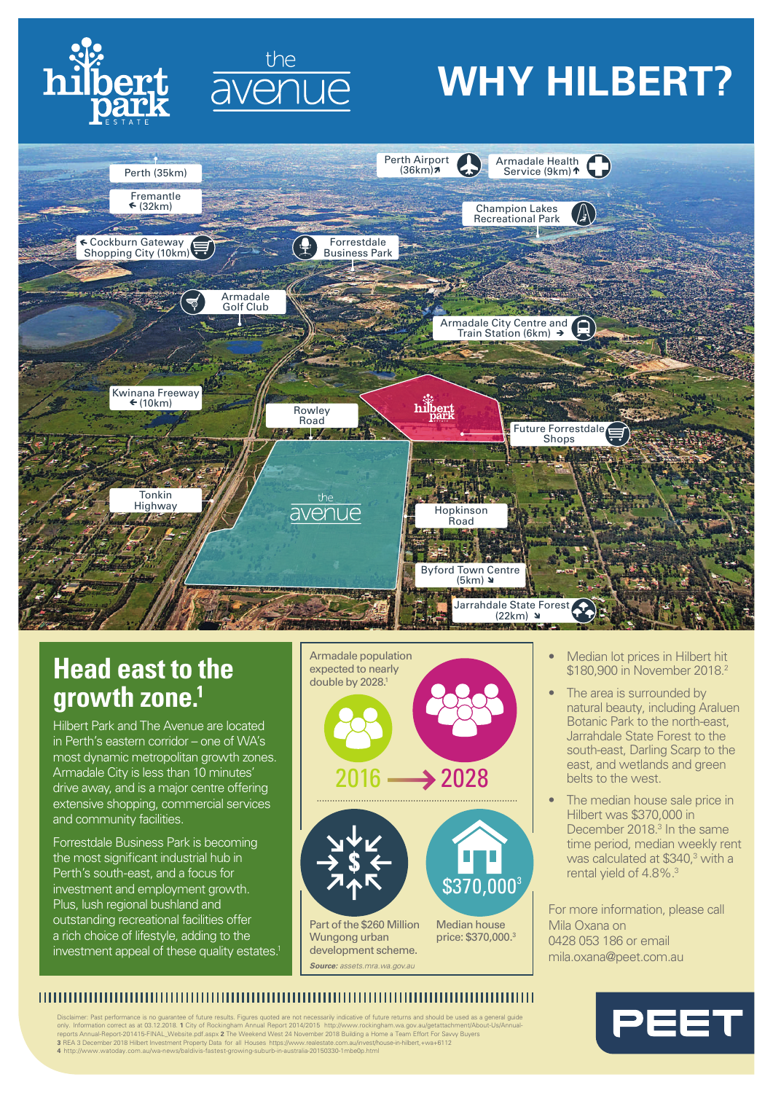



## **WHY HILBERT?**



### **Head east to the growth zone.1**

Hilbert Park and The Avenue are located in Perth's eastern corridor – one of WA's most dynamic metropolitan growth zones. Armadale City is less than 10 minutes drive away, and is a major centre offering extensive shopping, commercial services and community facilities.

Forrestdale Business Park is becoming the most significant industrial hub in Perth's south-east, and a focus for investment and employment growth. Plus, lush regional bushland and outstanding recreational facilities offer a rich choice of lifestyle, adding to the investment appeal of these quality estates.







Part of the \$260 Million Wungong urban development scheme. *Source: assets.mra.wa.gov.au*

Median house price: \$370,000. 3

- Median lot prices in Hilbert hit \$180,900 in November 2018.<sup>2</sup>
- The area is surrounded by natural beauty, including Araluen Botanic Park to the north-east, Jarrahdale State Forest to the south-east, Darling Scarp to the east, and wetlands and green belts to the west.
- The median house sale price in Hilbert was \$370,000 in December 2018. 3 In the same time period, median weekly rent was calculated at \$340,<sup>3</sup> with a rental yield of 4.8%.<sup>3</sup>

For more information, please call Mila Oxana on 0428 053 186 or email mila.oxana@peet.com.au

#### 

Disclaimer: Past performance is no guarantee of future results. Figures quoted are not necessarily indicative of future returns and should be used as a general guide<br>only. Information correct as at 03.12.2018. 1 City of Ro **4** http://www.watoday.com.au/wa-news/baldivis-fastest-growing-suburb-in-australia-20150330-1mbe0p.html